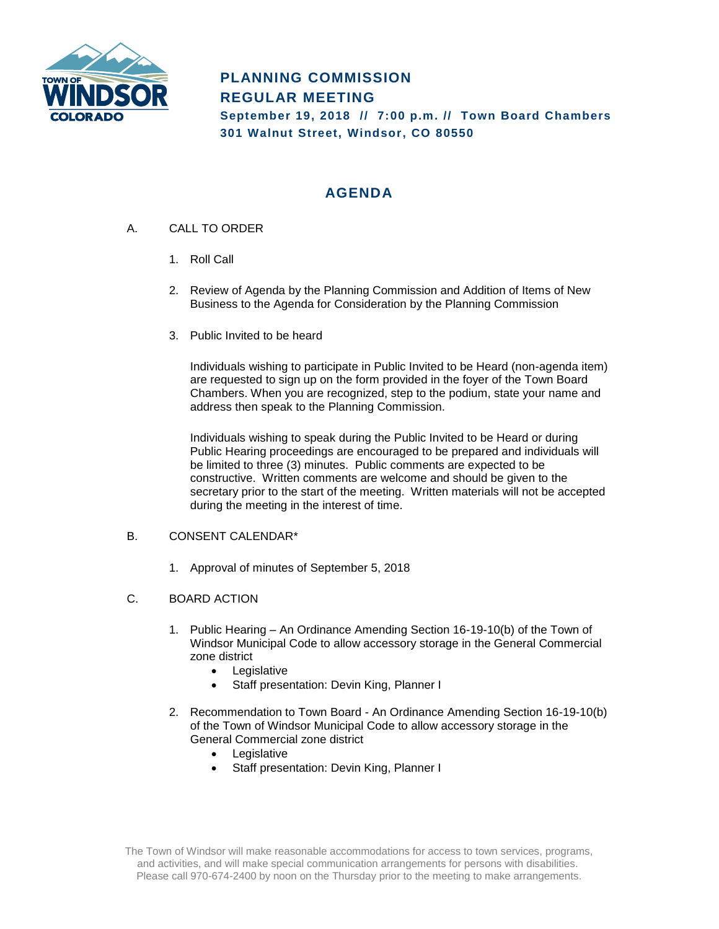

# **PLANNING COMMISSION REGULAR MEETING**

**September 19, 2018 // 7:00 p.m. // Town Board Chambers 301 Walnut Street, Windsor, CO 80550**

# **AGENDA**

- A. CALL TO ORDER
	- 1. Roll Call
	- 2. Review of Agenda by the Planning Commission and Addition of Items of New Business to the Agenda for Consideration by the Planning Commission
	- 3. Public Invited to be heard

Individuals wishing to participate in Public Invited to be Heard (non-agenda item) are requested to sign up on the form provided in the foyer of the Town Board Chambers. When you are recognized, step to the podium, state your name and address then speak to the Planning Commission.

Individuals wishing to speak during the Public Invited to be Heard or during Public Hearing proceedings are encouraged to be prepared and individuals will be limited to three (3) minutes. Public comments are expected to be constructive. Written comments are welcome and should be given to the secretary prior to the start of the meeting. Written materials will not be accepted during the meeting in the interest of time.

#### B. CONSENT CALENDAR\*

1. Approval of minutes of September 5, 2018

#### C. BOARD ACTION

- 1. Public Hearing An Ordinance Amending Section 16-19-10(b) of the Town of Windsor Municipal Code to allow accessory storage in the General Commercial zone district
	- Legislative
	- Staff presentation: Devin King, Planner I
- 2. Recommendation to Town Board An Ordinance Amending Section 16-19-10(b) of the Town of Windsor Municipal Code to allow accessory storage in the General Commercial zone district
	- Legislative
	- Staff presentation: Devin King, Planner I

The Town of Windsor will make reasonable accommodations for access to town services, programs, and activities, and will make special communication arrangements for persons with disabilities. Please call 970-674-2400 by noon on the Thursday prior to the meeting to make arrangements.